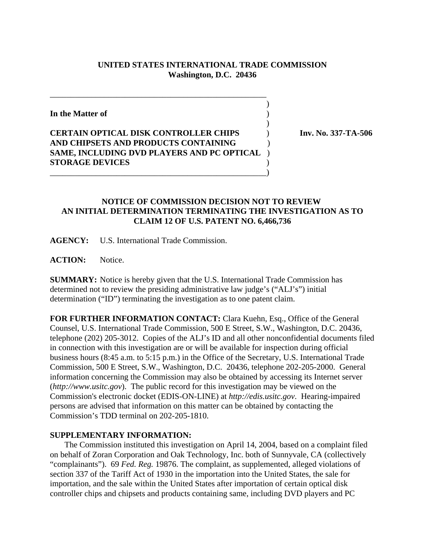## **UNITED STATES INTERNATIONAL TRADE COMMISSION Washington, D.C. 20436**

 $\overline{\phantom{a}}$ 

 $\overline{\phantom{a}}$ 

**In the Matter of** )

## **CERTAIN OPTICAL DISK CONTROLLER CHIPS** ) **Inv. No. 337-TA-506 AND CHIPSETS AND PRODUCTS CONTAINING** ) **SAME, INCLUDING DVD PLAYERS AND PC OPTICAL** ) **STORAGE DEVICES** ) \_\_\_\_\_\_\_\_\_\_\_\_\_\_\_\_\_\_\_\_\_\_\_\_\_\_\_\_\_\_\_\_\_\_\_\_\_\_\_\_\_\_\_\_\_\_\_\_\_\_\_\_)

\_\_\_\_\_\_\_\_\_\_\_\_\_\_\_\_\_\_\_\_\_\_\_\_\_\_\_\_\_\_\_\_\_\_\_\_\_\_\_\_\_\_\_\_\_\_\_\_\_\_\_\_

## **NOTICE OF COMMISSION DECISION NOT TO REVIEW AN INITIAL DETERMINATION TERMINATING THE INVESTIGATION AS TO CLAIM 12 OF U.S. PATENT NO. 6,466,736**

**AGENCY:** U.S. International Trade Commission.

ACTION: Notice.

**SUMMARY:** Notice is hereby given that the U.S. International Trade Commission has determined not to review the presiding administrative law judge's ("ALJ's") initial determination ("ID") terminating the investigation as to one patent claim.

**FOR FURTHER INFORMATION CONTACT:** Clara Kuehn, Esq., Office of the General Counsel, U.S. International Trade Commission, 500 E Street, S.W., Washington, D.C. 20436, telephone (202) 205-3012. Copies of the ALJ's ID and all other nonconfidential documents filed in connection with this investigation are or will be available for inspection during official business hours (8:45 a.m. to 5:15 p.m.) in the Office of the Secretary, U.S. International Trade Commission, 500 E Street, S.W., Washington, D.C. 20436, telephone 202-205-2000. General information concerning the Commission may also be obtained by accessing its Internet server (*http://www.usitc.gov*). The public record for this investigation may be viewed on the Commission's electronic docket (EDIS-ON-LINE) at *http://edis.usitc.gov*. Hearing-impaired persons are advised that information on this matter can be obtained by contacting the Commission's TDD terminal on 202-205-1810.

## **SUPPLEMENTARY INFORMATION:**

 The Commission instituted this investigation on April 14, 2004, based on a complaint filed on behalf of Zoran Corporation and Oak Technology, Inc. both of Sunnyvale, CA (collectively "complainants"). 69 *Fed. Reg.* 19876. The complaint, as supplemented, alleged violations of section 337 of the Tariff Act of 1930 in the importation into the United States, the sale for importation, and the sale within the United States after importation of certain optical disk controller chips and chipsets and products containing same, including DVD players and PC